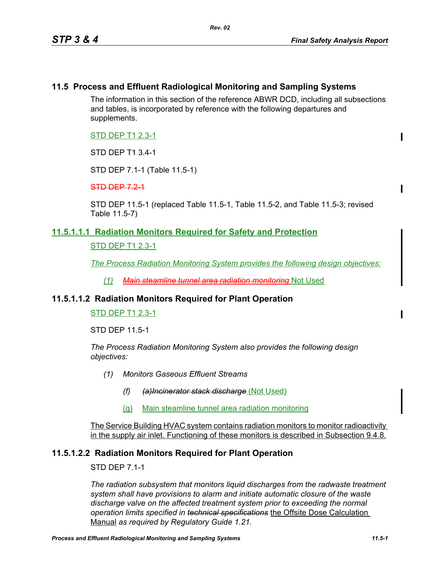# **11.5 Process and Effluent Radiological Monitoring and Sampling Systems**

The information in this section of the reference ABWR DCD, including all subsections and tables, is incorporated by reference with the following departures and supplements.

STD DEP T1 2.3-1

STD DEP T1 3.4-1

STD DEP 7.1-1 (Table 11.5-1)

 $STD$  DEP  $7.2-1$ 

STD DEP 11.5-1 (replaced Table 11.5-1, Table 11.5-2, and Table 11.5-3; revised Table 11.5-7)

## **11.5.1.1.1 Radiation Monitors Required for Safety and Protection**

STD DEP T1 2.3-1

*The Process Radiation Monitoring System provides the following design objectives:*

*(1) Main steamline tunnel area radiation monitoring* Not Used

## **11.5.1.1.2 Radiation Monitors Required for Plant Operation**

STD DEP T1 2.3-1

STD DEP 11.5-1

*The Process Radiation Monitoring System also provides the following design objectives:*

- *(1) Monitors Gaseous Effluent Streams*
	- *(f) (a)Incinerator stack discharge* (Not Used)
	- (g) Main steamline tunnel area radiation monitoring

The Service Building HVAC system contains radiation monitors to monitor radioactivity in the supply air inlet. Functioning of these monitors is described in Subsection 9.4.8.

## **11.5.1.2.2 Radiation Monitors Required for Plant Operation**

STD DEP 7.1-1

*The radiation subsystem that monitors liquid discharges from the radwaste treatment system shall have provisions to alarm and initiate automatic closure of the waste discharge valve on the affected treatment system prior to exceeding the normal operation limits specified in technical specifications* the Offsite Dose Calculation Manual *as required by Regulatory Guide 1.21.*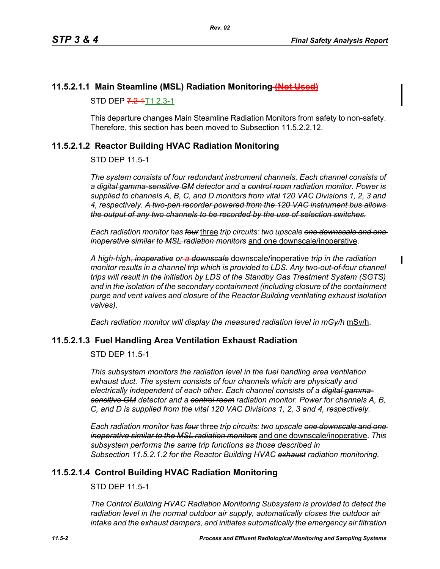$\blacksquare$ 

# **11.5.2.1.1 Main Steamline (MSL) Radiation Monitoring (Not Used)**

STD DEP 7.2-4T1 2.3-1

This departure changes Main Steamline Radiation Monitors from safety to non-safety. Therefore, this section has been moved to Subsection 11.5.2.2.12.

# <span id="page-1-0"></span>**11.5.2.1.2 Reactor Building HVAC Radiation Monitoring**

STD DEP 11.5-1

*The system consists of four redundant instrument channels. Each channel consists of a digital gamma-sensitive GM detector and a control room radiation monitor. Power is supplied to channels A, B, C, and D monitors from vital 120 VAC Divisions 1, 2, 3 and 4, respectively. A two-pen recorder powered from the 120 VAC instrument bus allows the output of any two channels to be recorded by the use of selection switches.*

*Each radiation monitor has four* three *trip circuits: two upscale one downscale and one inoperative similar to MSL radiation monitors* and one downscale/inoperative.

*A high-high, inoperative or a downscale* downscale/inoperative *trip in the radiation monitor results in a channel trip which is provided to LDS. Any two-out-of-four channel trips will result in the initiation by LDS of the Standby Gas Treatment System (SGTS) and in the isolation of the secondary containment (including closure of the containment purge and vent valves and closure of the Reactor Building ventilating exhaust isolation valves).*

*Each radiation monitor will display the measured radiation level in mGy/h* mSv/h.

## **11.5.2.1.3 Fuel Handling Area Ventilation Exhaust Radiation**

STD DEP 11.5-1

*This subsystem monitors the radiation level in the fuel handling area ventilation exhaust duct. The system consists of four channels which are physically and electrically independent of each other. Each channel consists of a digital gammasensitive GM detector and a control room radiation monitor. Power for channels A, B, C, and D is supplied from the vital 120 VAC Divisions 1, 2, 3 and 4, respectively.*

*Each radiation monitor has four* three *trip circuits: two upscale one downscale and one inoperative similar to the MSL radiation monitors* and one downscale/inoperative. *This subsystem performs the same trip functions as those described in Subsection [11.5.2.1.2](#page-1-0) for the Reactor Building HVAC exhaust radiation monitoring.*

## **11.5.2.1.4 Control Building HVAC Radiation Monitoring**

STD DEP 11.5-1

*The Control Building HVAC Radiation Monitoring Subsystem is provided to detect the radiation level in the normal outdoor air supply, automatically closes the outdoor air intake and the exhaust dampers, and initiates automatically the emergency air filtration*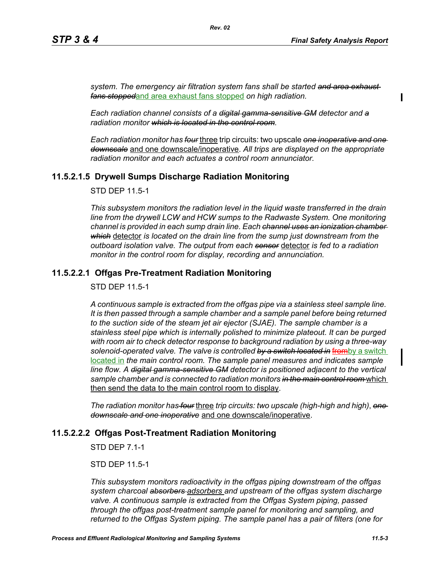*system. The emergency air filtration system fans shall be started and area exhaust fans stopped*and area exhaust fans stopped *on high radiation.*

*Rev. 02*

*Each radiation channel consists of a digital gamma-sensitive GM detector and a radiation monitor which is located in the control room.*

*Each radiation monitor has four* three trip circuits: two upscale *one inoperative and one downscale* and one downscale/inoperative. *All trips are displayed on the appropriate radiation monitor and each actuates a control room annunciator.*

# **11.5.2.1.5 Drywell Sumps Discharge Radiation Monitoring**

STD DEP 11.5-1

*This subsystem monitors the radiation level in the liquid waste transferred in the drain line from the drywell LCW and HCW sumps to the Radwaste System. One monitoring channel is provided in each sump drain line. Each channel uses an ionization chamber which* detector *is located on the drain line from the sump just downstream from the outboard isolation valve. The output from each sensor* detector *is fed to a radiation monitor in the control room for display, recording and annunciation.*

# **11.5.2.2.1 Offgas Pre-Treatment Radiation Monitoring**

STD DEP 11.5-1

*A continuous sample is extracted from the offgas pipe via a stainless steel sample line. It is then passed through a sample chamber and a sample panel before being returned to the suction side of the steam jet air ejector (SJAE). The sample chamber is a stainless steel pipe which is internally polished to minimize plateout. It can be purged with room air to check detector response to background radiation by using a three-way solenoid-operated valve. The valve is controlled by a switch located in* fromby a switch located in *the main control room. The sample panel measures and indicates sample line flow. A digital gamma-sensitive GM detector is positioned adjacent to the vertical sample chamber and is connected to radiation monitors in the main control room* which then send the data to the main control room to display.

*The radiation monitor has four* three *trip circuits: two upscale (high-high and high)*, *one downscale and one inoperative* and one downscale/inoperative.

# **11.5.2.2.2 Offgas Post-Treatment Radiation Monitoring**

STD DEP 7.1-1

STD DEP 11.5-1

*This subsystem monitors radioactivity in the offgas piping downstream of the offgas system charcoal absorbers adsorbers and upstream of the offgas system discharge valve. A continuous sample is extracted from the Offgas System piping, passed through the offgas post-treatment sample panel for monitoring and sampling, and returned to the Offgas System piping. The sample panel has a pair of filters (one for*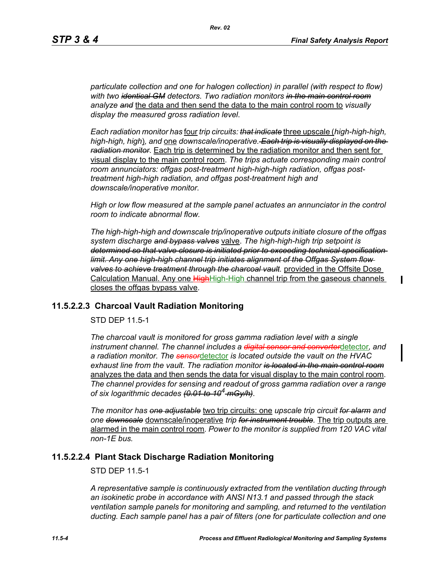П

*particulate collection and one for halogen collection) in parallel (with respect to flow) with two identical GM detectors. Two radiation monitors in the main control room analyze and* the data and then send the data to the main control room to *visually display the measured gross radiation level*.

*Each radiation monitor has* four *trip circuits: that indicate* three upscale (*high-high-high, high-high, high*)*, and* one *downscale/inoperative. Each trip is visually displayed on the radiation monitor*. Each trip is determined by the radiation monitor and then sent for visual display to the main control room. *The trips actuate corresponding main control room annunciators: offgas post-treatment high-high-high radiation, offgas posttreatment high-high radiation, and offgas post-treatment high and downscale/inoperative monitor.*

*High or low flow measured at the sample panel actuates an annunciator in the control room to indicate abnormal flow.*

*The high-high-high and downscale trip/inoperative outputs initiate closure of the offgas system discharge and bypass valves* valve. *The high-high-high trip setpoint is determined so that valve closure is initiated prior to exceeding technical specification limit. Any one high-high channel trip initiates alignment of the Offgas System flow valves to achieve treatment through the charcoal vault.* provided in the Offsite Dose Calculation Manual. Any one HighHigh-High channel trip from the gaseous channels closes the offgas bypass valve.

## **11.5.2.2.3 Charcoal Vault Radiation Monitoring**

STD DEP 11.5-1

*The charcoal vault is monitored for gross gamma radiation level with a single instrument channel. The channel includes a digital sensor and converter*detector*, and a radiation monitor. The sensor*detector *is located outside the vault on the HVAC exhaust line from the vault*. *The radiation monitor is located in the main control room* analyzes the data and then sends the data for visual display to the main control room. *The channel provides for sensing and readout of gross gamma radiation over a range of six logarithmic decades (0.01 to 104 mGy/h)*.

*The monitor has one adjustable* two trip circuits: one *upscale trip circuit for alarm and one downscale* downscale/inoperative *trip for instrument trouble.* The trip outputs are alarmed in the main control room*. Power to the monitor is supplied from 120 VAC vital non-1E bus.*

## **11.5.2.2.4 Plant Stack Discharge Radiation Monitoring**

STD DEP 11.5-1

*A representative sample is continuously extracted from the ventilation ducting through an isokinetic probe in accordance with ANSI N13.1 and passed through the stack ventilation sample panels for monitoring and sampling, and returned to the ventilation ducting. Each sample panel has a pair of filters (one for particulate collection and one*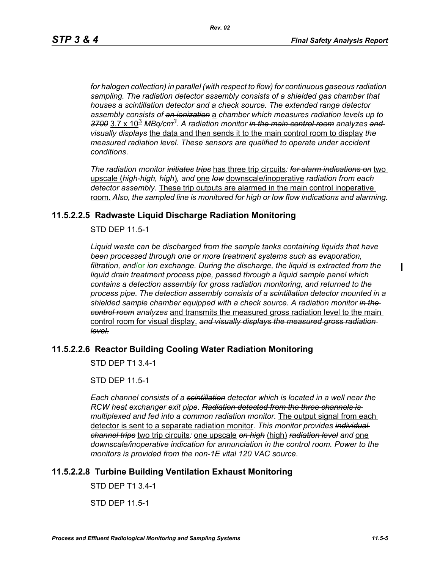*for halogen collection) in parallel (with respect to flow) for continuous gaseous radiation sampling. The radiation detector assembly consists of a shielded gas chamber that houses a scintillation detector and a check source. The extended range detector assembly consists of an ionization* a *chamber which measures radiation levels up to 3700* 3.7 x 10<sup>3</sup> *MBq/cm3. A radiation monitor in the main control room analyzes and visually displays* the data and then sends it to the main control room to display *the measured radiation level. These sensors are qualified to operate under accident conditions*.

*The radiation monitor initiates trips* has three trip circuits*: for alarm indications on* two upscale (*high-high, high*)*, and* one *low* downscale/inoperative *radiation from each detector assembly.* These trip outputs are alarmed in the main control inoperative room. *Also, the sampled line is monitored for high or low flow indications and alarming.*

## **11.5.2.2.5 Radwaste Liquid Discharge Radiation Monitoring**

STD DEP 11.5-1

*Liquid waste can be discharged from the sample tanks containing liquids that have been processed through one or more treatment systems such as evaporation, filtration, and*/or *ion exchange. During the discharge, the liquid is extracted from the liquid drain treatment process pipe, passed through a liquid sample panel which contains a detection assembly for gross radiation monitoring, and returned to the process pipe. The detection assembly consists of a scintillation detector mounted in a shielded sample chamber equipped with a check source. A radiation monitor in the control room analyzes* and transmits the measured gross radiation level to the main control room for visual display. *and visually displays the measured gross radiation level.*

## **11.5.2.2.6 Reactor Building Cooling Water Radiation Monitoring**

STD DEP T1 3.4-1

STD DEP 11.5-1

*Each channel consists of a scintillation detector which is located in a well near the RCW heat exchanger exit pipe. Radiation detected from the three channels is multiplexed and fed into a common radiation monitor.* The output signal from each detector is sent to a separate radiation monitor*. This monitor provides individual channel trips* two trip circuits*:* one upscale *on high* (high) *radiation level and* one *downscale/inoperative indication for annunciation in the control room. Power to the monitors is provided from the non-1E vital 120 VAC source*.

# **11.5.2.2.8 Turbine Building Ventilation Exhaust Monitoring**

STD DEP T1 3.4-1

STD DEP 11.5-1

 $\mathbf I$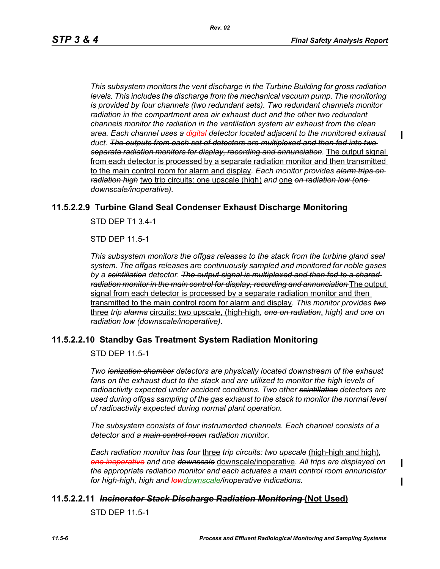*This subsystem monitors the vent discharge in the Turbine Building for gross radiation levels. This includes the discharge from the mechanical vacuum pump. The monitoring is provided by four channels (two redundant sets). Two redundant channels monitor radiation in the compartment area air exhaust duct and the other two redundant channels monitor the radiation in the ventilation system air exhaust from the clean area. Each channel uses a digital detector located adjacent to the monitored exhaust duct. The outputs from each set of detectors are multiplexed and then fed into two separate radiation monitors for display, recording and annunciation.* The output signal from each detector is processed by a separate radiation monitor and then transmitted to the main control room for alarm and display*. Each monitor provides alarm trips on radiation high* two trip circuits: one upscale (high) *and* one *on radiation low (one downscale/inoperative).*

## **11.5.2.2.9 Turbine Gland Seal Condenser Exhaust Discharge Monitoring**

STD DEP T1 3.4-1

STD DEP 11.5-1

*This subsystem monitors the offgas releases to the stack from the turbine gland seal system. The offgas releases are continuously sampled and monitored for noble gases by a scintillation detector. The output signal is multiplexed and then fed to a shared radiation monitor in the main control for display, recording and annunciation* The output signal from each detector is processed by a separate radiation monitor and then transmitted to the main control room for alarm and display*. This monitor provides two* three *trip alarms* circuits: two upscale, (high-high*, one on radiation*, *high) and one on radiation low (downscale/inoperative)*.

## **11.5.2.2.10 Standby Gas Treatment System Radiation Monitoring**

STD DEP 11.5-1

*Two ionization chamber detectors are physically located downstream of the exhaust*  fans on the exhaust duct to the stack and are utilized to monitor the high levels of *radioactivity expected under accident conditions. Two other scintillation detectors are used during offgas sampling of the gas exhaust to the stack to monitor the normal level of radioactivity expected during normal plant operation.*

*The subsystem consists of four instrumented channels. Each channel consists of a detector and a main control room radiation monitor.*

*Each radiation monitor has four* three *trip circuits: two upscale* (high-high and high)*, one inoperative and one downscale* downscale/inoperative*. All trips are displayed on the appropriate radiation monitor and each actuates a main control room annunciator for high-high, high and lowdownscale/inoperative indications.*

### **11.5.2.2.11** *Incinerator Stack Discharge Radiation Monitoring* **(Not Used)**

STD DEP 11.5-1

 $\mathbf I$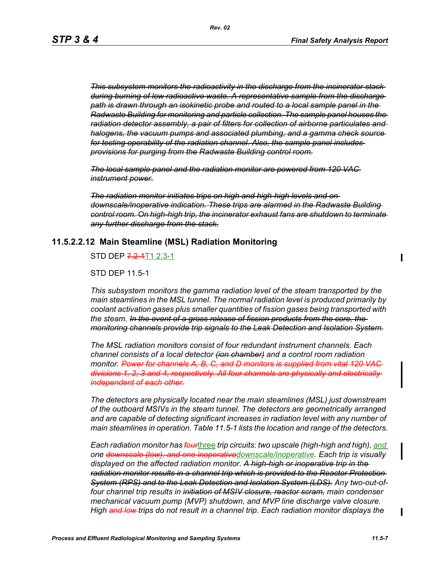*This subsystem monitors the radioactivity in the discharge from the incinerator stack during burning of low radioactive waste. A representative sample from the discharge path is drawn through an isokinetic probe and routed to a local sample panel in the Radwaste Building for monitoring and particle collection. The sample panel houses the radiation detector assembly, a pair of filters for collection of airborne particulates and halogens, the vacuum pumps and associated plumbing, and a gamma check source for testing operability of the radiation channel. Also, the sample panel includes provisions for purging from the Radwaste Building control room.*

*The local sample panel and the radiation monitor are powered from 120 VAC instrument power.*

*The radiation monitor initiates trips on high and high-high levels and on downscale/inoperative indication. These trips are alarmed in the Radwaste Building control room. On high-high trip, the incinerator exhaust fans are shutdown to terminate any further discharge from the stack.*

#### **11.5.2.2.12 Main Steamline (MSL) Radiation Monitoring**

STD DEP 7.2-4T1 2.3-1

STD DEP 11.5-1

*This subsystem monitors the gamma radiation level of the steam transported by the main steamlines in the MSL tunnel. The normal radiation level is produced primarily by coolant activation gases plus smaller quantities of fission gases being transported with the steam. In the event of a gross release of fission products from the core, the monitoring channels provide trip signals to the Leak Detection and Isolation System.*

*The MSL radiation monitors consist of four redundant instrument channels. Each channel consists of a local detector (ion chamber) and a control room radiation monitor. Power for channels A, B, C, and D monitors is supplied from vital 120 VAC divisions 1, 2, 3 and 4, respectively. All four channels are physically and electrically independent of each other.*

*The detectors are physically located near the main steamlines (MSL) just downstream of the outboard MSIVs in the steam tunnel. The detectors are geometrically arranged and are capable of detecting significant increases in radiation level with any number of main steamlines in operation. Table 11.5-1 lists the location and range of the detectors.*

*Each radiation monitor has four*three *trip circuits: two upscale (high-high and high), and one downscale (low), and one inoperativedownscale/inoperative. Each trip is visually displayed on the affected radiation monitor. A high-high or inoperative trip in the radiation monitor results in a channel trip which is provided to the Reactor Protection System (RPS) and to the Leak Detection and Isolation System (LDS). Any two-out-offour channel trip results in initiation of MSIV closure, reactor scram, main condenser mechanical vacuum pump (MVP) shutdown, and MVP line discharge valve closure. High and low trips do not result in a channel trip. Each radiation monitor displays the* 

 $\blacksquare$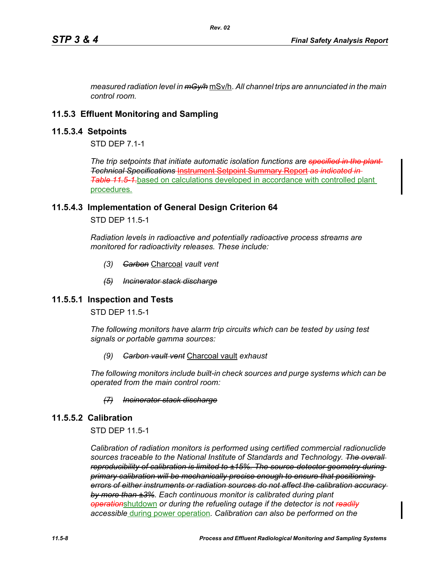*measured radiation level in mGy/h* mSv/h. *All channel trips are annunciated in the main control room.*

# **11.5.3 Effluent Monitoring and Sampling**

## **11.5.3.4 Setpoints**

STD DFP 7 1-1

*The trip setpoints that initiate automatic isolation functions are specified in the plant Technical Specifications* Instrument Setpoint Summary Report *as indicated in Table* [11.5-1](#page-12-0) based on calculations developed in accordance with controlled plant procedures.

## **11.5.4.3 Implementation of General Design Criterion 64**

STD DEP 11.5-1

*Radiation levels in radioactive and potentially radioactive process streams are monitored for radioactivity releases. These include:*

- *(3) Carbon* Charcoal *vault vent*
- *(5) Incinerator stack discharge*

# **11.5.5.1 Inspection and Tests**

STD DEP 11.5-1

*The following monitors have alarm trip circuits which can be tested by using test signals or portable gamma sources:*

*(9) Carbon vault vent* Charcoal vault *exhaust*

*The following monitors include built-in check sources and purge systems which can be operated from the main control room:*

### *(7) Incinerator stack discharge*

# **11.5.5.2 Calibration**

STD DEP 11.5-1

*Calibration of radiation monitors is performed using certified commercial radionuclide sources traceable to the National Institute of Standards and Technology. The overall reproducibility of calibration is limited to ±15%. The source-detector geometry during primary calibration will be mechanically precise enough to ensure that positioning errors of either instruments or radiation sources do not affect the calibration accuracy by more than ±3%. Each continuous monitor is calibrated during plant operation*shutdown *or during the refueling outage if the detector is not readily accessible* during power operation*. Calibration can also be performed on the*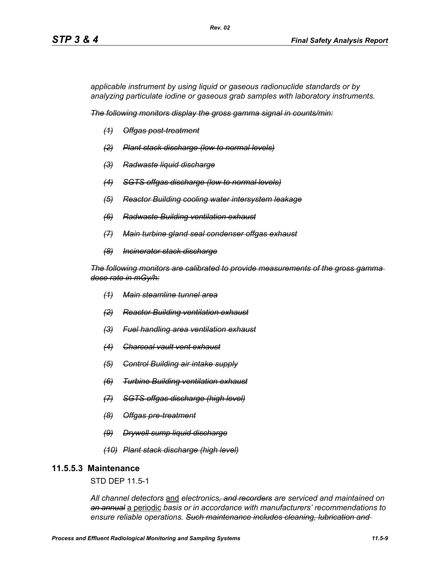*applicable instrument by using liquid or gaseous radionuclide standards or by analyzing particulate iodine or gaseous grab samples with laboratory instruments.*

*The following monitors display the gross gamma signal in counts/min:*

*Rev. 02*

- *(1) Offgas post-treatment*
- *(2) Plant stack discharge (low to normal levels)*
- *(3) Radwaste liquid discharge*
- *(4) SGTS offgas discharge (low to normal levels)*
- *(5) Reactor Building cooling water intersystem leakage*
- *(6) Radwaste Building ventilation exhaust*
- *(7) Main turbine gland seal condenser offgas exhaust*
- *(8) Incinerator stack discharge*

*The following monitors are calibrated to provide measurements of the gross gamma dose rate in mGy/h:*

- *(1) Main steamline tunnel area*
- *(2) Reactor Building ventilation exhaust*
- *(3) Fuel handling area ventilation exhaust*
- *(4) Charcoal vault vent exhaust*
- *(5) Control Building air intake supply*
- *(6) Turbine Building ventilation exhaust*
- *(7) SGTS offgas discharge (high level)*
- *(8) Offgas pre-treatment*
- *(9) Drywell sump liquid discharge*
- *(10) Plant stack discharge (high level)*

# **11.5.5.3 Maintenance**

STD DEP 11.5-1

*All channel detectors* and *electronics, and recorders are serviced and maintained on an annual* a periodic *basis or in accordance with manufacturers' recommendations to ensure reliable operations. Such maintenance includes cleaning, lubrication and*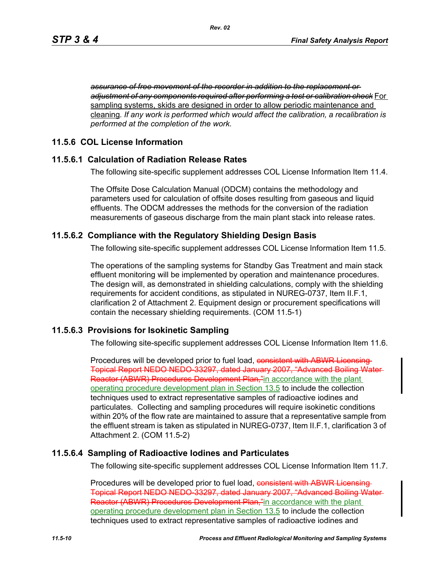*assurance of free movement of the recorder in addition to the replacement or adjustment of any components required after performing a test or calibration check* For sampling systems, skids are designed in order to allow periodic maintenance and cleaning*. If any work is performed which would affect the calibration, a recalibration is performed at the completion of the work.*

# **11.5.6 COL License Information**

## **11.5.6.1 Calculation of Radiation Release Rates**

The following site-specific supplement addresses COL License Information Item 11.4.

The Offsite Dose Calculation Manual (ODCM) contains the methodology and parameters used for calculation of offsite doses resulting from gaseous and liquid effluents. The ODCM addresses the methods for the conversion of the radiation measurements of gaseous discharge from the main plant stack into release rates.

## **11.5.6.2 Compliance with the Regulatory Shielding Design Basis**

The following site-specific supplement addresses COL License Information Item 11.5.

The operations of the sampling systems for Standby Gas Treatment and main stack effluent monitoring will be implemented by operation and maintenance procedures. The design will, as demonstrated in shielding calculations, comply with the shielding requirements for accident conditions, as stipulated in NUREG-0737, Item II.F.1, clarification 2 of Attachment 2. Equipment design or procurement specifications will contain the necessary shielding requirements. (COM 11.5-1)

## **11.5.6.3 Provisions for Isokinetic Sampling**

The following site-specific supplement addresses COL License Information Item 11.6.

Procedures will be developed prior to fuel load, consistent with ABWR Licensing-Topical Report NEDO NEDO-33297, dated January 2007, "Advanced Boiling Water Reactor (ABWR) Procedures Development Plan,"in accordance with the plant operating procedure development plan in Section 13.5 to include the collection techniques used to extract representative samples of radioactive iodines and particulates. Collecting and sampling procedures will require isokinetic conditions within 20% of the flow rate are maintained to assure that a representative sample from the effluent stream is taken as stipulated in NUREG-0737, Item II.F.1, clarification 3 of Attachment 2. (COM 11.5-2)

# **11.5.6.4 Sampling of Radioactive Iodines and Particulates**

The following site-specific supplement addresses COL License Information Item 11.7.

Procedures will be developed prior to fuel load, consistent with ABWR Licensing Topical Report NEDO NEDO-33297, dated January 2007, "Advanced Boiling Water Reactor (ABWR) Procedures Development Plan,"in accordance with the plant operating procedure development plan in Section 13.5 to include the collection techniques used to extract representative samples of radioactive iodines and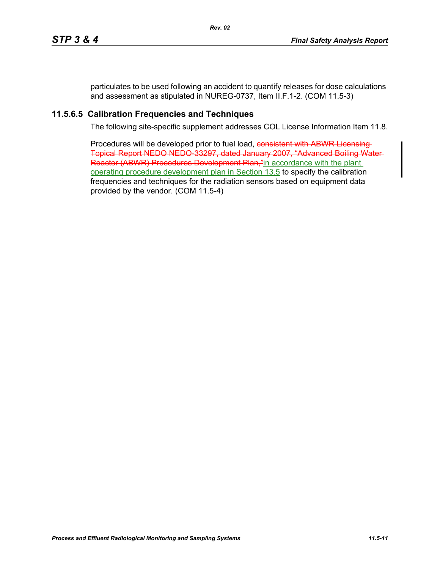particulates to be used following an accident to quantify releases for dose calculations and assessment as stipulated in NUREG-0737, Item II.F.1-2. (COM 11.5-3)

# **11.5.6.5 Calibration Frequencies and Techniques**

The following site-specific supplement addresses COL License Information Item 11.8.

Procedures will be developed prior to fuel load, consistent with ABWR Licensing Topical Report NEDO NEDO-33297, dated January 2007, "Advanced Boiling Water Reactor (ABWR) Procedures Development Plan,"in accordance with the plant operating procedure development plan in Section 13.5 to specify the calibration frequencies and techniques for the radiation sensors based on equipment data provided by the vendor. (COM 11.5-4)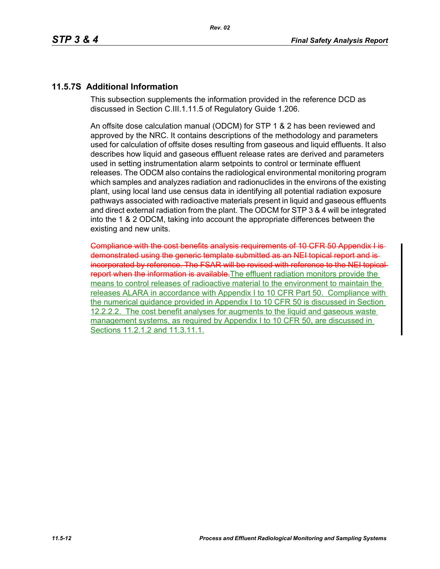# **11.5.7S Additional Information**

This subsection supplements the information provided in the reference DCD as discussed in Section C.III.1.11.5 of Regulatory Guide 1.206.

An offsite dose calculation manual (ODCM) for STP 1 & 2 has been reviewed and approved by the NRC. It contains descriptions of the methodology and parameters used for calculation of offsite doses resulting from gaseous and liquid effluents. It also describes how liquid and gaseous effluent release rates are derived and parameters used in setting instrumentation alarm setpoints to control or terminate effluent releases. The ODCM also contains the radiological environmental monitoring program which samples and analyzes radiation and radionuclides in the environs of the existing plant, using local land use census data in identifying all potential radiation exposure pathways associated with radioactive materials present in liquid and gaseous effluents and direct external radiation from the plant. The ODCM for STP 3 & 4 will be integrated into the 1 & 2 ODCM, taking into account the appropriate differences between the existing and new units.

Compliance with the cost benefits analysis requirements of 10 CFR 50 Appendix I is demonstrated using the generic template submitted as an NEI topical report and is incorporated by reference. The FSAR will be revised with reference to the NEI topical report when the information is available. The effluent radiation monitors provide the means to control releases of radioactive material to the environment to maintain the releases ALARA in accordance with Appendix I to 10 CFR Part 50. Compliance with the numerical guidance provided in Appendix I to 10 CFR 50 is discussed in Section 12.2.2.2. The cost benefit analyses for augments to the liquid and gaseous waste management systems, as required by Appendix I to 10 CFR 50, are discussed in Sections 11.2.1.2 and 11.3.11.1.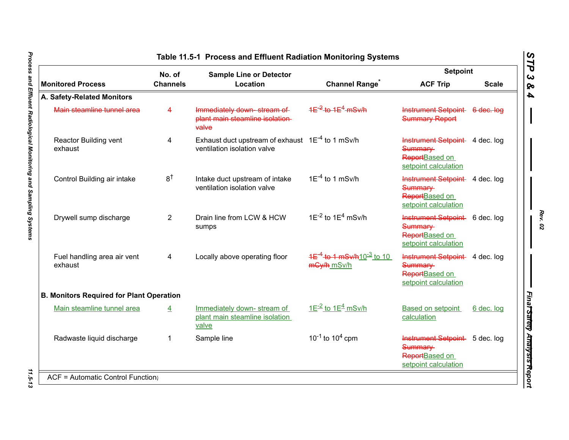|                                                 | No. of<br><b>Sample Line or Detector</b> |                                                                                      |                                                                             | <b>Setpoint</b>                                                                     |              |
|-------------------------------------------------|------------------------------------------|--------------------------------------------------------------------------------------|-----------------------------------------------------------------------------|-------------------------------------------------------------------------------------|--------------|
| <b>Monitored Process</b>                        | <b>Channels</b>                          | Location                                                                             | <b>Channel Range<sup>®</sup></b>                                            | <b>ACF Trip</b>                                                                     | <b>Scale</b> |
| A. Safety-Related Monitors                      |                                          |                                                                                      |                                                                             |                                                                                     |              |
| Main steamline tunnel area                      | $\overline{\mathbf{4}}$                  | Immediately down stream of<br>plant main steamline isolation-<br>valve               | $4E^{-2}$ to $4E^{4}$ mSv/h                                                 | Instrument Setpoint 6 dec. log<br><b>Summary Report</b>                             |              |
| Reactor Building vent<br>exhaust                | 4                                        | Exhaust duct upstream of exhaust $1E^{-4}$ to 1 mSv/h<br>ventilation isolation valve |                                                                             | Instrument Setpoint 4 dec. log<br>Summary<br>ReportBased on<br>setpoint calculation |              |
| Control Building air intake                     | $8^{\dagger}$                            | Intake duct upstream of intake<br>ventilation isolation valve                        | $1E^{-4}$ to 1 mSv/h                                                        | Instrument Setpoint 4 dec. log<br>Summary<br>ReportBased on<br>setpoint calculation |              |
| Drywell sump discharge                          | $\overline{2}$                           | Drain line from LCW & HCW<br>sumps                                                   | $1E^{-2}$ to $1E^{4}$ mSv/h                                                 | Instrument Setpoint 6 dec. log<br>Summary<br>ReportBased on<br>setpoint calculation |              |
| Fuel handling area air vent<br>exhaust          | 4                                        | Locally above operating floor                                                        | <del>1E<sup>-4</sup> to 1 mSv/h</del> 10 <sup>-3</sup> to 10<br>mGy/h mSv/h | Instrument Setpoint 4 dec. log<br>Summary<br>ReportBased on<br>setpoint calculation |              |
| <b>B. Monitors Required for Plant Operation</b> |                                          |                                                                                      |                                                                             |                                                                                     |              |
| Main steamline tunnel area                      | $\overline{4}$                           | Immediately down-stream of<br>plant main steamline isolation<br>valve                | $1E^{-2}$ to $1E^{4}$ mSv/h                                                 | <b>Based on setpoint</b><br>calculation                                             | 6 dec. log   |
| Radwaste liquid discharge                       | 1                                        | Sample line                                                                          | $10^{-1}$ to $10^{4}$ cpm                                                   | Instrument Setpoint 5 dec. log<br>Summary<br>ReportBased on<br>setpoint calculation |              |

*Rev. 02*

<span id="page-12-0"></span>11.5-13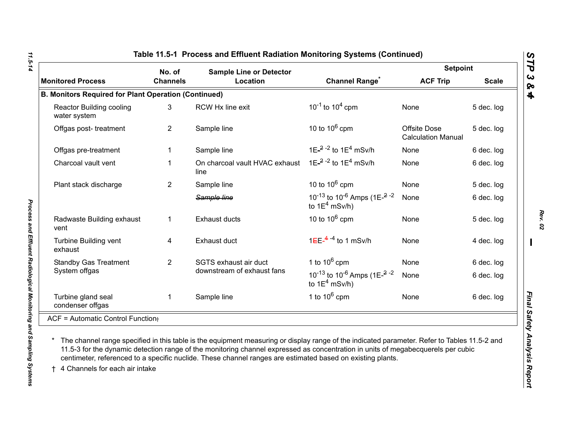|                                                             | No. of<br><b>Sample Line or Detector</b> |                                        |                                                                                                             | <b>Setpoint</b>                                  |              |
|-------------------------------------------------------------|------------------------------------------|----------------------------------------|-------------------------------------------------------------------------------------------------------------|--------------------------------------------------|--------------|
| <b>Monitored Process</b>                                    | <b>Channels</b>                          | Location                               | <b>Channel Range</b>                                                                                        | <b>ACF Trip</b>                                  | <b>Scale</b> |
| <b>B. Monitors Required for Plant Operation (Continued)</b> |                                          |                                        |                                                                                                             |                                                  |              |
| Reactor Building cooling<br>water system                    | 3                                        | RCW Hx line exit                       | $10^{-1}$ to $10^{4}$ cpm                                                                                   | None                                             | 5 dec. log   |
| Offgas post-treatment                                       | $\overline{2}$                           | Sample line                            | 10 to $10^6$ cpm                                                                                            | <b>Offsite Dose</b><br><b>Calculation Manual</b> | 5 dec. log   |
| Offgas pre-treatment                                        | 1                                        | Sample line                            | 1E <sup>-2-2</sup> to 1E <sup>4</sup> mSv/h                                                                 | None                                             | 6 dec. log   |
| Charcoal vault vent                                         | 1                                        | On charcoal vault HVAC exhaust<br>line | 1E $^{-2}$ - <sup>2</sup> to 1E <sup>4</sup> mSv/h                                                          | None                                             | 6 dec. log   |
| Plant stack discharge                                       | $\overline{2}$                           | Sample line                            | 10 to $10^6$ cpm                                                                                            | None                                             | 5 dec. log   |
|                                                             |                                          | Sample line                            | 10 <sup>-13</sup> to 10 <sup>-6</sup> Amps (1E- $^{2}$ <sup>-2</sup><br>to $1E^4$ mSv/h)                    | None                                             | 6 dec. log   |
| Radwaste Building exhaust<br>vent                           | 1                                        | <b>Exhaust ducts</b>                   | 10 to $10^6$ cpm                                                                                            | None                                             | 5 dec. log   |
| Turbine Building vent<br>exhaust                            | 4                                        | Exhaust duct                           | $1EE^{-4-4}$ to 1 mSv/h                                                                                     | None                                             | 4 dec. log   |
| <b>Standby Gas Treatment</b>                                | $\overline{2}$                           | SGTS exhaust air duct                  | 1 to $10^6$ cpm                                                                                             | None                                             | 6 dec. log   |
| System offgas                                               |                                          | downstream of exhaust fans             | 10 <sup>-13</sup> to 10 <sup>-6</sup> Amps (1E <sup><math>-2</math></sup> <sup>-2</sup><br>to $1E^4$ mSv/h) | None                                             | 6 dec. log   |
| Turbine gland seal<br>condenser offgas                      | $\mathbf{1}$                             | Sample line                            | 1 to $10^6$ cpm                                                                                             | None                                             | 6 dec. log   |
| ACF = Automatic Control Function;                           |                                          |                                        |                                                                                                             |                                                  |              |

11.5-14

*Rev. 02*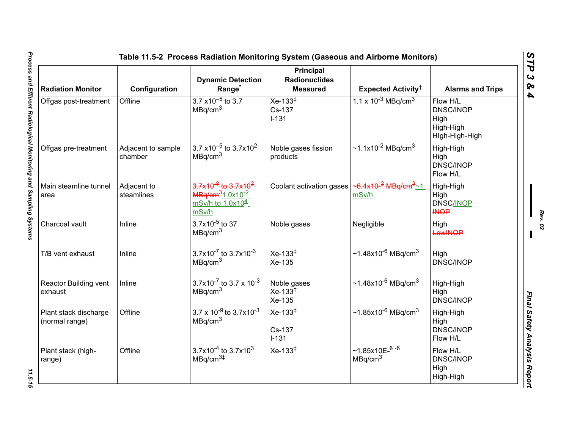| <b>Radiation Monitor</b>                | Configuration                 | <b>Dynamic Detection</b><br>Range <sup>*</sup>                                    | <b>Principal</b><br><b>Radionuclides</b><br><b>Measured</b>                             | Expected Activity <sup>†</sup>                     | <b>Alarms and Trips</b>                                             |
|-----------------------------------------|-------------------------------|-----------------------------------------------------------------------------------|-----------------------------------------------------------------------------------------|----------------------------------------------------|---------------------------------------------------------------------|
| Offgas post-treatment                   | Offline                       | $3.7 \times 10^{-5}$ to 3.7<br>MBq/cm <sup>3</sup>                                | $Xe-133^{\ddagger}$<br>Cs-137<br>$I - 131$                                              | 1.1 x $10^{-3}$ MBq/cm <sup>3</sup>                | Flow H/L<br><b>DNSC/INOP</b><br>High<br>High-High<br>Hlgh-High-High |
| Offgas pre-treatment                    | Adjacent to sample<br>chamber | 3.7 x10 <sup>-5</sup> to 3.7x10 <sup>2</sup><br>MBq/cm <sup>3</sup>               | Noble gases fission<br>products                                                         | ~1.1x10 <sup>-2</sup> MBq/cm <sup>3</sup>          | High-High<br>High<br><b>DNSC/INOP</b><br>Flow H/L                   |
| Main steamline tunnel<br>area           | Adjacent to<br>steamlines     | $3.7x10^{-8}$ to $3.7x10^2$<br>$MBq/cm31.0x10-2$<br>$mSv/h$ to $1.0x104$<br>mSv/h | Coolant activation gases $\left  \frac{26.4 \times 10^{-2} \text{mBg/cm}^3}{1} \right $ | mSv/h                                              | High-High<br>High<br><b>DNSC/INOP</b><br><b>INOP</b>                |
| Charcoal vault                          | Inline                        | $3.7x10^{-5}$ to 37<br>MBq/cm <sup>3</sup>                                        | Noble gases                                                                             | Negligible                                         | High<br>LowINOP                                                     |
| T/B vent exhaust                        | Inline                        | $3.7x10^{-7}$ to $3.7x10^{-3}$<br>MBq/cm <sup>3</sup>                             | $Xe-133^{1}$<br>Xe-135                                                                  | $\sim$ 1.48x10 <sup>-6</sup> MBq/cm <sup>3</sup>   | High<br><b>DNSC/INOP</b>                                            |
| Reactor Building vent<br>exhaust        | Inline                        | 3.7x10 <sup>-7</sup> to 3.7 x 10 <sup>-3</sup><br>MBq/cm <sup>3</sup>             | Noble gases<br>$Xe-133^{\ddagger}$<br>Xe-135                                            | $~1.48x10^{-6}$ MBq/cm <sup>3</sup>                | High-High<br>High<br><b>DNSC/INOP</b>                               |
| Plant stack discharge<br>(normal range) | Offline                       | $3.7 \times 10^{-9}$ to $3.7 \times 10^{-3}$<br>MBq/cm <sup>3</sup>               | $Xe-133^{1}$<br>Cs-137<br>$I-131$                                                       | $\sim$ 1.85x10 <sup>-6</sup> MBq/cm <sup>3</sup>   | High-High<br>High<br><b>DNSC/INOP</b><br>Flow H/L                   |
| Plant stack (high-<br>range)            | Offline                       | $3.7x10^{-4}$ to 3.7x10 <sup>3</sup><br>MBq/cm <sup>3#</sup>                      | $Xe-133^{1}$                                                                            | $~1.85x10E-$ <sup>6-6</sup><br>MBq/cm <sup>3</sup> | Flow H/L<br><b>DNSC/INOP</b><br>High<br>High-High                   |

11.5-15

*Rev. 02*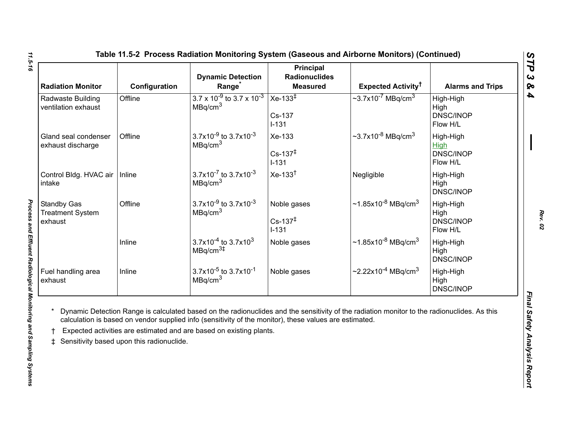<span id="page-15-0"></span>

| <b>Radiation Monitor</b>                                 | Configuration | <b>Dynamic Detection</b><br>Range                                     | <b>Principal</b><br><b>Radionuclides</b><br><b>Measured</b> | <b>Expected Activity<sup>†</sup></b>             | <b>Alarms and Trips</b>                                  |
|----------------------------------------------------------|---------------|-----------------------------------------------------------------------|-------------------------------------------------------------|--------------------------------------------------|----------------------------------------------------------|
| Radwaste Building<br>ventilation exhaust                 | Offline       | $3.7 \times 10^{-9}$ to 3.7 x 10 <sup>-3</sup><br>MBq/cm <sup>3</sup> | $Xe-133^{\ddagger}$<br>Cs-137<br>$I - 131$                  | $\sim$ 3.7x10 <sup>-7</sup> MBq/cm <sup>3</sup>  | High-High<br>High<br>DNSC/INOP<br>Flow H/L               |
| Gland seal condenser<br>exhaust discharge                | Offline       | 3.7x10 $-9$ to 3.7x10 $-3$<br>MBq/cm <sup>3</sup>                     | Xe-133<br>$Cs - 137^{\ddagger}$<br>$I - 131$                | $\sim$ 3.7x10 <sup>-8</sup> MBq/cm <sup>3</sup>  | High-High<br><b>High</b><br><b>DNSC/INOP</b><br>Flow H/L |
| Control Bldg. HVAC air<br>intake                         | Inline        | $3.7x10^{-7}$ to $3.7x10^{-3}$<br>MBq/cm <sup>3</sup>                 | $Xe-133^{\dagger}$                                          | Negligible                                       | High-High<br>High<br><b>DNSC/INOP</b>                    |
| <b>Standby Gas</b><br><b>Treatment System</b><br>exhaust | Offline       | $3.7x10^{-9}$ to $3.7x10^{-3}$<br>MBq/cm <sup>3</sup>                 | Noble gases<br>$Cs - 137^{\ddagger}$<br>$I - 131$           | $\sim$ 1.85x10 <sup>-8</sup> MBq/cm <sup>3</sup> | High-High<br>High<br>DNSC/INOP<br>Flow H/L               |
|                                                          | Inline        | $3.7x10^{-4}$ to $3.7x10^{3}$<br>MBq/cm <sup>3</sup>                  | Noble gases                                                 | $\sim$ 1.85x10 <sup>-8</sup> MBq/cm <sup>3</sup> | High-High<br>High<br><b>DNSC/INOP</b>                    |
| Fuel handling area<br>exhaust                            | Inline        | $3.7x10^{-5}$ to 3.7x10 <sup>-1</sup><br>MBq/cm <sup>3</sup>          | Noble gases                                                 | $\sim$ 2.22x10 <sup>-4</sup> MBq/cm <sup>3</sup> | High-High<br>High<br>DNSC/INOP                           |